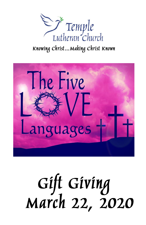

Knowing Christ... Making Christ Known



# Gift Giving<br>March 22, 2020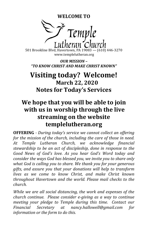**WELCOME TO**



501 Brookline Blvd, Havertown, PA 19083 — (610) 446-3270 www.templelutheran.org

*OUR MISSION – "TO KNOW CHRIST AND MAKE CHRIST KNOWN"*

# **Visiting today? Welcome! March 22, 2020 Notes for Today's Services**

# **We hope that you will be able to join with us in worship through the live streaming on the website templelutheran.org**

**OFFERING** *- During today's service we cannot collect an offering for the mission of the church, including the care of those in need. At Temple Lutheran Church, we acknowledge financial stewardship to be an act of discipleship, done in response to the Good News of God's love. As you hear God's Word today and consider the ways God has blessed you, we invite you to share only what God is calling you to share. We thank you for your generous gifts, and assure you that your donations will help to transform lives as we come to know Christ, and make Christ known throughout Havertown and the world. Please mail checks to the church.*

*While we are all social distancing, the work and expenses of the church continue. Please consider e-giving as a way to continue meeting your pledge to Temple during this time. Contact our Financial Secretary at nancy.hallowell@gmail.com for information or the form to do this.*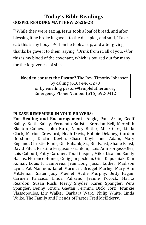### **Today's Bible Readings GOSPEL READING: MATTHEW 26:26-28**

<sup>26</sup>While they were eating, Jesus took a loaf of bread, and after blessing it he broke it, gave it to the disciples, and said, "Take, eat; this is my body." <sup>27</sup>Then he took a cup, and after giving thanks he gave it to them, saying, "Drink from it, all of you; <sup>28</sup>for this is my blood of the covenant, which is poured out for many for the forgiveness of sins.

**Need to contact the Pastor?** The Rev. Timothy Johansen, by calling (610) 446-3270 or by emailing pastor@templelutheran.org Emergency Phone Number (516) 592-0412

#### **PLEASE REMEMBER IN YOUR PRAYERS:**

**For Healing and Encouragement** Angie, Paul Arata, Geoff Bailey, Keith Bailey, Fernando Batista, Brendan Bell, Meredith Blanton Gaines, John Burd, Nancy Butler, Mike Carr, Linda Clack, Marion Crawford, Noah Davis, Bobbie Delaney, Gordon Dershimer, Declan Devlin, Chase Doyle and Adam, Mary England, Christie Ennis, Gil Eubank, Sr., Bill Faust, Shane Faust, David Fitch, Kristine Ferguson-Franklin, Lois Ann Forgess-Oler, Lois Gabbott, Patty Gardner, Todd Gasper, Mike, Lisa and Sandy Harms, Florence Homer, Craig Jamgochian, Gina Kapusniak, Kim Komar, Louis F. Lamoreux, Jean Long, Jason Luther, Madison Lynn, Pat Mannion, Janet Marinari, Bridget Marley, Mary Ann Mittleman, Sister Judy Moellet, Audie Murphy, Betty Pagan, Carmen Palacios, Linda Palisano, Jeanne Pocock, Marita Reardon, Susan Rush, Merry Snyder, Karen Spangler, Vera Spangler, Benny Strain, Gaetan Termini, Dick Torti, Frankie Vlassopoulos, Lily Walker, Barbara Ward, Philip White, Linda Wilke, The Family and Friends of Pastor Fred McElderry.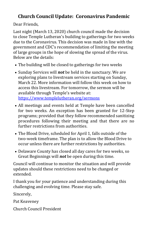## **Church Council Update: Coronavirus Pandemic**

Dear Friends,

Last night (March 13, 2020) church council made the decision to close Temple Lutheran's building to gatherings for two weeks due to the Coronavirus. This decision was made in line with the government and CDC's recommendation of limiting the meeting of large groups in the hope of slowing the spread of the virus. Below are the details:

- The building will be closed to gatherings for two weeks
- Sunday Services will *not* be held in the sanctuary. We are exploring plans to livestream services starting on Sunday, March 22. More information will follow this week on how to access this livestream. For tomorrow, the sermon will be available through Temple's website at: [https://www.templelutheran.org/sermons](http://r20.rs6.net/tn.jsp?f=001BFOTw2ruGpnk8YJawZ1OIrz3yWH2yYqtHTzo_SbPxJUSw45WlzHkbcTQ60Jha46oJZwrZPQrguBfV6Y6RsFdug1WaBwGzx2SUZQjMFFXu1XEYMabSL5dBr818u6qVUKr1Ozt0Y7kXSyhr8dfTzuC4G1bumKCJ3ZD9ewduRtmMM8Jt1W4ISpmRQCmpS2siuJa&c=1rhvRMgJyRB60-eyEPhAGOHPK-sEfnEbHjrZ0HBfu2VAtLIr9VgfyQ==&ch=MMOsktdRt7d4nVqvc12EB8JQaJ8LeEgwx8HEfOQtN4FKRe8ALp47wQ==)
- All meetings and events held at Temple have been cancelled for two weeks. An exception has been granted for 12-Step programs; provided that they follow recommended sanitizing procedures following their meeting and that there are no further restrictions from authorities.
- The Blood Drive, scheduled for April 1, falls outside of the two-week timeframe. The plan is to allow the Blood Drive to occur unless there are further restrictions by authorities.
- Delaware County has closed all day cares for two weeks, so Great Beginnings will *not* be open during this time.

Council will continue to monitor the situation and will provide updates should these restrictions need to be changed or extended.

I thank you for your patience and understanding during this challenging and evolving time. Please stay safe.

Sincerely,

Pat Keaveney

Church Council President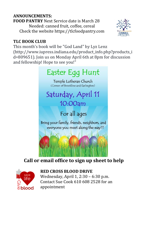#### **ANNOUNCEMENTS:**

**FOOD PANTRY** Next Service date is March 28 Needed: canned fruit, coffee, cereal Check the website https://tlcfoodpantry.com



#### **TLC BOOK CLUB**

This month's book will be "God Land" by Lyz Lenz (http://www.iupress.indiana.edu/product\_info.php?products\_i d=809651). Join us on Monday April 6th at 8pm for discussion and fellowship! Hope to see you!"



## **Call or email office to sign up sheet to help**



#### **RED CROSS BLOOD DRIVE**

Wednesday, April 1, 2:30 – 6:30 p.m. Contact Sue Cook 610 608 2528 for an appointment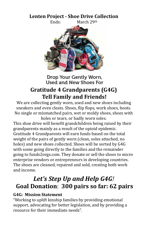#### **Lenten Project - Shoe Drive Collection**



Drop Your Gently Worn, Used and New Shoes For

## **Gratitude 4 Grandparents (G4G) Tell Family and Friends!**

We are collecting gently worn, used and new shoes including sneakers and even cleats. Shoes, flip flops, work shoes, boots. No single or mismatched pairs, wet or moldy shoes, shoes with holes or tears, or badly worn soles.

This shoe drive will benefit grandchildren being raised by their grandparents mainly as a result of the opioid epidemic. Gratitude 4 Grandparents will earn funds based on the total weight of the pairs of gently worn (clean, soles attached, no holes) and new shoes collected. Shoes will be sorted by G4G with some going directly to the families and the remainder going to funds2orgs.com. They donate or sell the shoes to micro enterprise vendors or entrepreneurs in developing countries. The shoes are cleaned, repaired and sold, creating both work and income.

# *Let's Step Up and Help G4G!* **Goal Donation**: **300 pairs so far: 62 pairs**

#### **G4G: Mission Statement**

"Working to uplift kinship families by providing emotional support, advocating for better legislation, and by providing a resource for their immediate needs".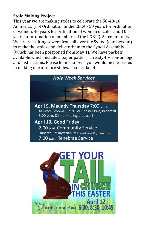#### **Stole Making Project**

This year we are making stoles to celebrate the 50-40-10 Anniversary of Ordination in the ELCA - 50 years for ordination of women, 40 years for ordination of women of color and 10 years for ordination of members of the LGBTQIA+ community. We are recruiting sewers from all over the Synod (and beyond) to make the stoles and deliver them to the Synod Assembly (which has been postponed from May 1). We have packets available which include a paper pattern, a ready-to-iron-on logo and instructions. Please let me know if you would be interested in making one or more stoles. Thanks. Janet